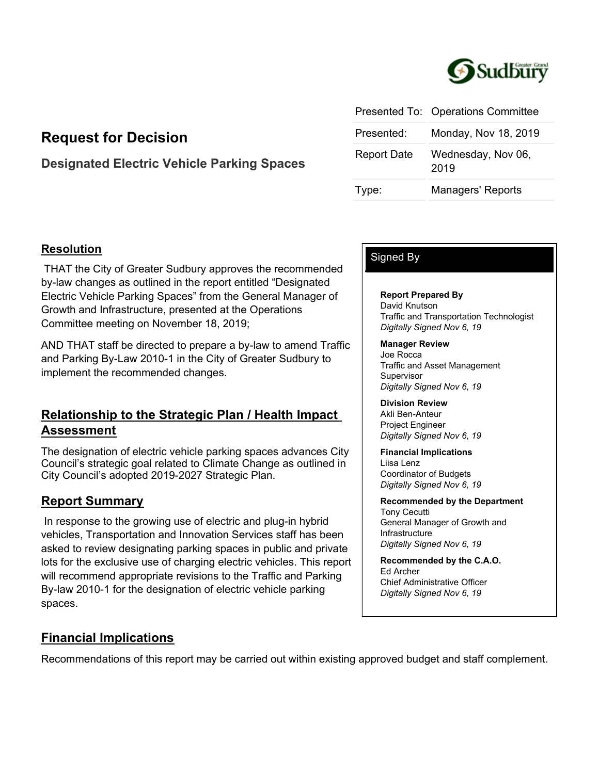

|                    | Presented To: Operations Committee |
|--------------------|------------------------------------|
| Presented:         | Monday, Nov 18, 2019               |
| <b>Report Date</b> | Wednesday, Nov 06,<br>2019         |
| Type:              | <b>Managers' Reports</b>           |

# **Request for Decision**

# **Designated Electric Vehicle Parking Spaces**

## **Resolution**

 THAT the City of Greater Sudbury approves the recommended by-law changes as outlined in the report entitled "Designated Electric Vehicle Parking Spaces" from the General Manager of Growth and Infrastructure, presented at the Operations Committee meeting on November 18, 2019;

AND THAT staff be directed to prepare a by-law to amend Traffic and Parking By-Law 2010-1 in the City of Greater Sudbury to implement the recommended changes.

# **Relationship to the Strategic Plan / Health Impact Assessment**

The designation of electric vehicle parking spaces advances City Council's strategic goal related to Climate Change as outlined in City Council's adopted 2019-2027 Strategic Plan.

## **Report Summary**

 In response to the growing use of electric and plug-in hybrid vehicles, Transportation and Innovation Services staff has been asked to review designating parking spaces in public and private lots for the exclusive use of charging electric vehicles. This report will recommend appropriate revisions to the Traffic and Parking By-law 2010-1 for the designation of electric vehicle parking spaces.

# **Financial Implications**

Recommendations of this report may be carried out within existing approved budget and staff complement.

## Signed By

**Report Prepared By** David Knutson Traffic and Transportation Technologist *Digitally Signed Nov 6, 19*

**Manager Review** Joe Rocca Traffic and Asset Management **Supervisor** *Digitally Signed Nov 6, 19*

**Division Review** Akli Ben-Anteur Project Engineer *Digitally Signed Nov 6, 19*

**Financial Implications** Liisa Lenz Coordinator of Budgets *Digitally Signed Nov 6, 19*

**Recommended by the Department** Tony Cecutti General Manager of Growth and Infrastructure *Digitally Signed Nov 6, 19*

**Recommended by the C.A.O.** Ed Archer Chief Administrative Officer *Digitally Signed Nov 6, 19*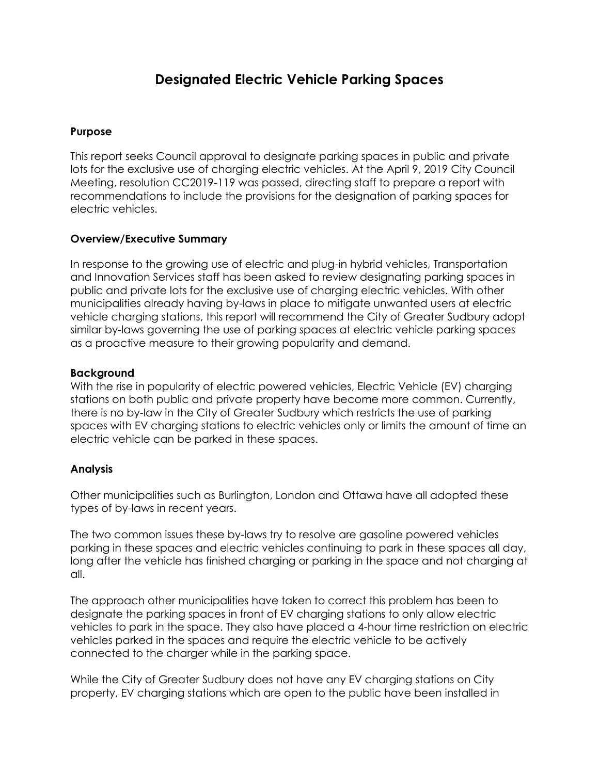# **Designated Electric Vehicle Parking Spaces**

### **Purpose**

This report seeks Council approval to designate parking spaces in public and private lots for the exclusive use of charging electric vehicles. At the April 9, 2019 City Council Meeting, resolution CC2019-119 was passed, directing staff to prepare a report with recommendations to include the provisions for the designation of parking spaces for electric vehicles.

#### **Overview/Executive Summary**

In response to the growing use of electric and plug-in hybrid vehicles, Transportation and Innovation Services staff has been asked to review designating parking spaces in public and private lots for the exclusive use of charging electric vehicles. With other municipalities already having by-laws in place to mitigate unwanted users at electric vehicle charging stations, this report will recommend the City of Greater Sudbury adopt similar by-laws governing the use of parking spaces at electric vehicle parking spaces as a proactive measure to their growing popularity and demand.

#### **Background**

With the rise in popularity of electric powered vehicles, Electric Vehicle (EV) charging stations on both public and private property have become more common. Currently, there is no by-law in the City of Greater Sudbury which restricts the use of parking spaces with EV charging stations to electric vehicles only or limits the amount of time an electric vehicle can be parked in these spaces.

#### **Analysis**

Other municipalities such as Burlington, London and Ottawa have all adopted these types of by-laws in recent years.

The two common issues these by-laws try to resolve are gasoline powered vehicles parking in these spaces and electric vehicles continuing to park in these spaces all day, long after the vehicle has finished charging or parking in the space and not charging at all.

The approach other municipalities have taken to correct this problem has been to designate the parking spaces in front of EV charging stations to only allow electric vehicles to park in the space. They also have placed a 4-hour time restriction on electric vehicles parked in the spaces and require the electric vehicle to be actively connected to the charger while in the parking space.

While the City of Greater Sudbury does not have any EV charging stations on City property, EV charging stations which are open to the public have been installed in